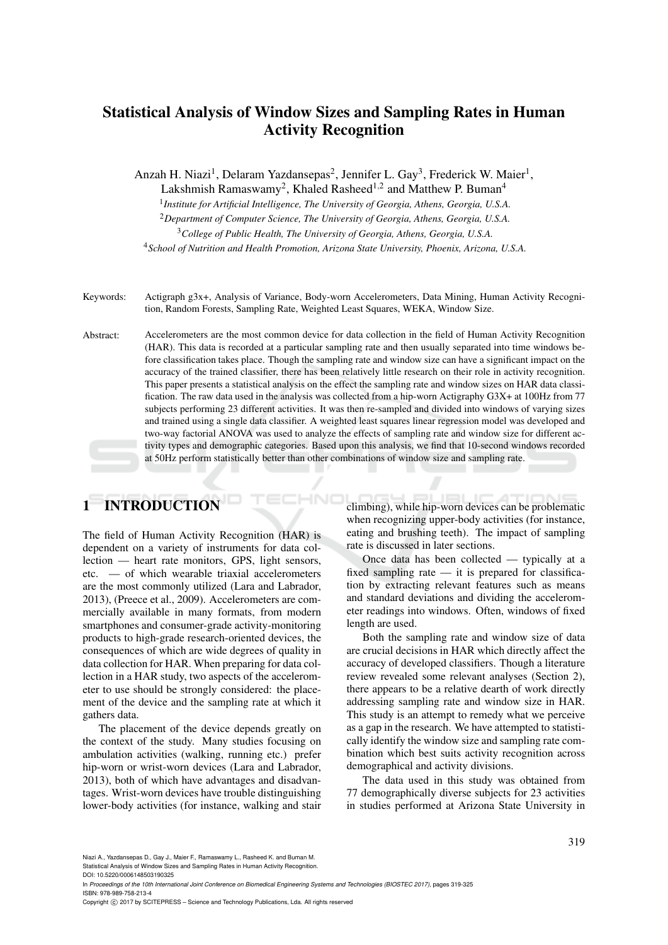## Statistical Analysis of Window Sizes and Sampling Rates in Human Activity Recognition

Anzah H. Niazi<sup>1</sup>, Delaram Yazdansepas<sup>2</sup>, Jennifer L. Gay<sup>3</sup>, Frederick W. Maier<sup>1</sup>,

Lakshmish Ramaswamy<sup>2</sup>, Khaled Rasheed<sup>1,2</sup> and Matthew P. Buman<sup>4</sup>

1 *Institute for Artificial Intelligence, The University of Georgia, Athens, Georgia, U.S.A.*

<sup>2</sup>*Department of Computer Science, The University of Georgia, Athens, Georgia, U.S.A.*

<sup>3</sup>*College of Public Health, The University of Georgia, Athens, Georgia, U.S.A.*

<sup>4</sup>*School of Nutrition and Health Promotion, Arizona State University, Phoenix, Arizona, U.S.A.*

Keywords: Actigraph g3x+, Analysis of Variance, Body-worn Accelerometers, Data Mining, Human Activity Recognition, Random Forests, Sampling Rate, Weighted Least Squares, WEKA, Window Size.

Abstract: Accelerometers are the most common device for data collection in the field of Human Activity Recognition (HAR). This data is recorded at a particular sampling rate and then usually separated into time windows before classification takes place. Though the sampling rate and window size can have a significant impact on the accuracy of the trained classifier, there has been relatively little research on their role in activity recognition. This paper presents a statistical analysis on the effect the sampling rate and window sizes on HAR data classification. The raw data used in the analysis was collected from a hip-worn Actigraphy G3X+ at 100Hz from 77 subjects performing 23 different activities. It was then re-sampled and divided into windows of varying sizes and trained using a single data classifier. A weighted least squares linear regression model was developed and two-way factorial ANOVA was used to analyze the effects of sampling rate and window size for different activity types and demographic categories. Based upon this analysis, we find that 10-second windows recorded at 50Hz perform statistically better than other combinations of window size and sampling rate.

# 1 INTRODUCTION

The field of Human Activity Recognition (HAR) is dependent on a variety of instruments for data collection — heart rate monitors, GPS, light sensors, etc. — of which wearable triaxial accelerometers are the most commonly utilized (Lara and Labrador, 2013), (Preece et al., 2009). Accelerometers are commercially available in many formats, from modern smartphones and consumer-grade activity-monitoring products to high-grade research-oriented devices, the consequences of which are wide degrees of quality in data collection for HAR. When preparing for data collection in a HAR study, two aspects of the accelerometer to use should be strongly considered: the placement of the device and the sampling rate at which it gathers data.

The placement of the device depends greatly on the context of the study. Many studies focusing on ambulation activities (walking, running etc.) prefer hip-worn or wrist-worn devices (Lara and Labrador, 2013), both of which have advantages and disadvantages. Wrist-worn devices have trouble distinguishing lower-body activities (for instance, walking and stair climbing), while hip-worn devices can be problematic when recognizing upper-body activities (for instance, eating and brushing teeth). The impact of sampling rate is discussed in later sections.

Once data has been collected — typically at a fixed sampling rate — it is prepared for classification by extracting relevant features such as means and standard deviations and dividing the accelerometer readings into windows. Often, windows of fixed length are used.

Both the sampling rate and window size of data are crucial decisions in HAR which directly affect the accuracy of developed classifiers. Though a literature review revealed some relevant analyses (Section 2), there appears to be a relative dearth of work directly addressing sampling rate and window size in HAR. This study is an attempt to remedy what we perceive as a gap in the research. We have attempted to statistically identify the window size and sampling rate combination which best suits activity recognition across demographical and activity divisions.

The data used in this study was obtained from 77 demographically diverse subjects for 23 activities in studies performed at Arizona State University in

Niazi A., Yazdansepas D., Gay J., Maier F., Ramaswamy L., Rasheed K. and Buman M.

Statistical Analysis of Window Sizes and Sampling Rates in Human Activity Recognition. DOI: 10.5220/0006148503190325

In *Proceedings of the 10th International Joint Conference on Biomedical Engineering Systems and Technologies (BIOSTEC 2017)*, pages 319-325 ISBN: 978-989-758-213-4

Copyright (C) 2017 by SCITEPRESS - Science and Technology Publications, Lda. All rights reserved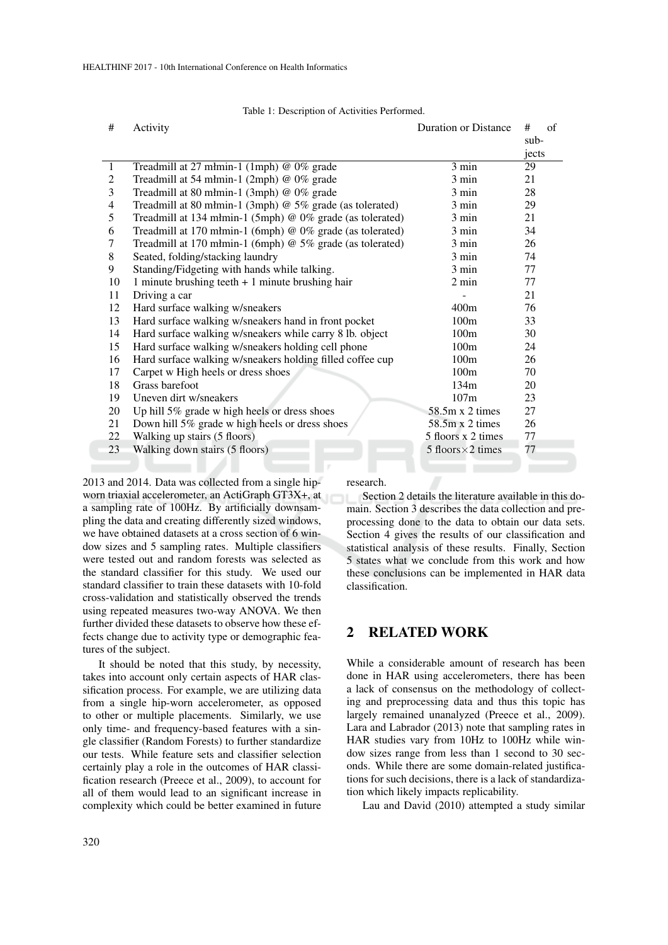| Table 1: Description of Activities Performed. |  |  |
|-----------------------------------------------|--|--|
|-----------------------------------------------|--|--|

| #              | <b>Duration or Distance</b><br>Activity                   |                           |        |  |  |
|----------------|-----------------------------------------------------------|---------------------------|--------|--|--|
|                |                                                           |                           | $sub-$ |  |  |
|                |                                                           |                           | jects  |  |  |
| 1              | Treadmill at 27 mlmin-1 (1mph) @ 0% grade                 | 3 min                     | 29     |  |  |
| 2              | Treadmill at 54 mlmin-1 (2mph) @ 0% grade                 | 3 min                     | 21     |  |  |
| 3              | Treadmill at 80 mlmin-1 (3mph) @ 0% grade                 | $3 \text{ min}$           | 28     |  |  |
| $\overline{4}$ | Treadmill at 80 mlmin-1 (3mph) @ 5% grade (as tolerated)  | 3 min                     | 29     |  |  |
| 5              | Treadmill at 134 mlmin-1 (5mph) @ 0% grade (as tolerated) | $3 \text{ min}$           | 21     |  |  |
| 6              | Treadmill at 170 mlmin-1 (6mph) @ 0% grade (as tolerated) | $3 \text{ min}$           | 34     |  |  |
| 7              | Treadmill at 170 młmin-1 (6mph) @ 5% grade (as tolerated) | 3 min                     | 26     |  |  |
| 8              | Seated, folding/stacking laundry                          | $3 \text{ min}$           | 74     |  |  |
| 9              | Standing/Fidgeting with hands while talking.              | $3 \text{ min}$           | 77     |  |  |
| 10             | 1 minute brushing teeth $+1$ minute brushing hair         | $2 \text{ min}$           | 77     |  |  |
| 11             | Driving a car                                             |                           | 21     |  |  |
| 12             | Hard surface walking w/sneakers                           | 400m                      | 76     |  |  |
| 13             | Hard surface walking w/sneakers hand in front pocket      | 100m                      | 33     |  |  |
| 14             | Hard surface walking w/sneakers while carry 8 lb. object  | 100m                      | 30     |  |  |
| 15             | Hard surface walking w/sneakers holding cell phone        | 100m                      | 24     |  |  |
| 16             | Hard surface walking w/sneakers holding filled coffee cup | 100m                      | 26     |  |  |
| 17             | Carpet w High heels or dress shoes                        | 100m                      | 70     |  |  |
| 18             | Grass barefoot                                            | 134m                      | 20     |  |  |
| 19             | Uneven dirt w/sneakers                                    | 107m                      | 23     |  |  |
| 20             | Up hill 5% grade w high heels or dress shoes              | $58.5m \times 2$ times    | 27     |  |  |
| 21             | Down hill 5% grade w high heels or dress shoes            | $58.5m \times 2$ times    | 26     |  |  |
| 22             | Walking up stairs (5 floors)                              | 5 floors x 2 times        | 77     |  |  |
| 23             | Walking down stairs (5 floors)                            | 5 floors $\times$ 2 times | 77     |  |  |
|                |                                                           |                           |        |  |  |

2013 and 2014. Data was collected from a single hipworn triaxial accelerometer, an ActiGraph GT3X+, at a sampling rate of 100Hz. By artificially downsampling the data and creating differently sized windows, we have obtained datasets at a cross section of 6 window sizes and 5 sampling rates. Multiple classifiers were tested out and random forests was selected as the standard classifier for this study. We used our standard classifier to train these datasets with 10-fold cross-validation and statistically observed the trends using repeated measures two-way ANOVA. We then further divided these datasets to observe how these effects change due to activity type or demographic features of the subject.

It should be noted that this study, by necessity, takes into account only certain aspects of HAR classification process. For example, we are utilizing data from a single hip-worn accelerometer, as opposed to other or multiple placements. Similarly, we use only time- and frequency-based features with a single classifier (Random Forests) to further standardize our tests. While feature sets and classifier selection certainly play a role in the outcomes of HAR classification research (Preece et al., 2009), to account for all of them would lead to an significant increase in complexity which could be better examined in future

research.

Section 2 details the literature available in this domain. Section 3 describes the data collection and preprocessing done to the data to obtain our data sets. Section 4 gives the results of our classification and statistical analysis of these results. Finally, Section 5 states what we conclude from this work and how these conclusions can be implemented in HAR data classification.

## 2 RELATED WORK

While a considerable amount of research has been done in HAR using accelerometers, there has been a lack of consensus on the methodology of collecting and preprocessing data and thus this topic has largely remained unanalyzed (Preece et al., 2009). Lara and Labrador (2013) note that sampling rates in HAR studies vary from 10Hz to 100Hz while window sizes range from less than 1 second to 30 seconds. While there are some domain-related justifications for such decisions, there is a lack of standardization which likely impacts replicability.

Lau and David (2010) attempted a study similar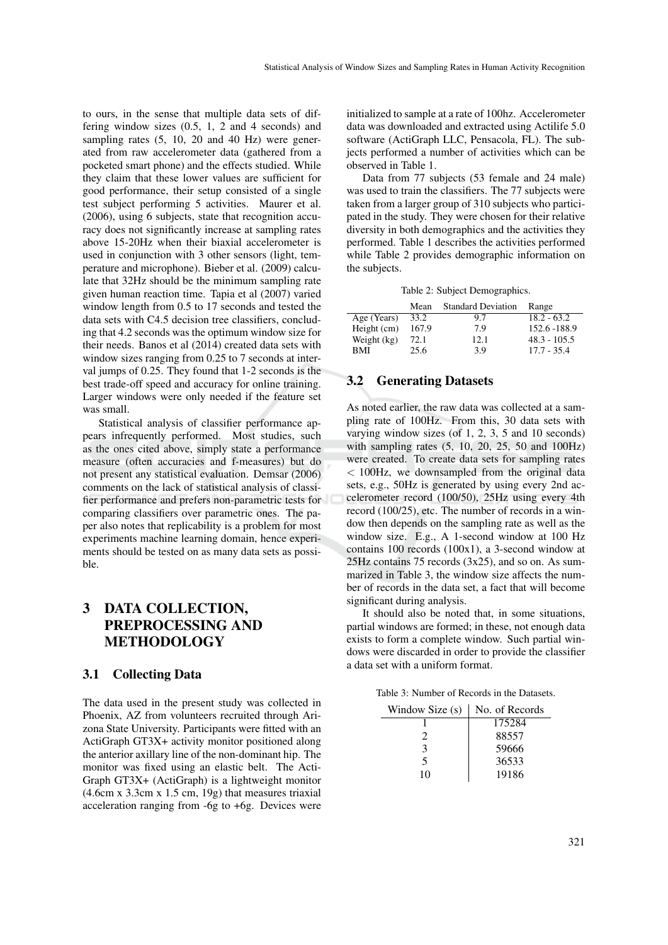to ours, in the sense that multiple data sets of differing window sizes (0.5, 1, 2 and 4 seconds) and sampling rates  $(5, 10, 20, 40, 40, 40)$  were generated from raw accelerometer data (gathered from a pocketed smart phone) and the effects studied. While they claim that these lower values are sufficient for good performance, their setup consisted of a single test subject performing 5 activities. Maurer et al. (2006), using 6 subjects, state that recognition accuracy does not significantly increase at sampling rates above 15-20Hz when their biaxial accelerometer is used in conjunction with 3 other sensors (light, temperature and microphone). Bieber et al. (2009) calculate that 32Hz should be the minimum sampling rate given human reaction time. Tapia et al (2007) varied window length from 0.5 to 17 seconds and tested the data sets with C4.5 decision tree classifiers, concluding that 4.2 seconds was the optimum window size for their needs. Banos et al (2014) created data sets with window sizes ranging from 0.25 to 7 seconds at interval jumps of 0.25. They found that 1-2 seconds is the best trade-off speed and accuracy for online training. Larger windows were only needed if the feature set was small.

Statistical analysis of classifier performance appears infrequently performed. Most studies, such as the ones cited above, simply state a performance measure (often accuracies and f-measures) but do not present any statistical evaluation. Demsar (2006) comments on the lack of statistical analysis of classifier performance and prefers non-parametric tests for comparing classifiers over parametric ones. The paper also notes that replicability is a problem for most experiments machine learning domain, hence experiments should be tested on as many data sets as possible.

## 3 DATA COLLECTION, PREPROCESSING AND METHODOLOGY

## 3.1 Collecting Data

The data used in the present study was collected in Phoenix, AZ from volunteers recruited through Arizona State University. Participants were fitted with an ActiGraph GT3X+ activity monitor positioned along the anterior axillary line of the non-dominant hip. The monitor was fixed using an elastic belt. The Acti-Graph GT3X+ (ActiGraph) is a lightweight monitor  $(4.6cm x 3.3cm x 1.5 cm, 19g)$  that measures triaxial acceleration ranging from -6g to +6g. Devices were

initialized to sample at a rate of 100hz. Accelerometer data was downloaded and extracted using Actilife 5.0 software (ActiGraph LLC, Pensacola, FL). The subjects performed a number of activities which can be observed in Table 1.

Data from 77 subjects (53 female and 24 male) was used to train the classifiers. The 77 subjects were taken from a larger group of 310 subjects who participated in the study. They were chosen for their relative diversity in both demographics and the activities they performed. Table 1 describes the activities performed while Table 2 provides demographic information on the subjects.

Table 2: Subject Demographics.

|             | Mean  | <b>Standard Deviation</b> | Range          |
|-------------|-------|---------------------------|----------------|
| Age (Years) | 33.2  | 9.7                       | $18.2 - 63.2$  |
| Height (cm) | 167.9 | 7.9                       | 152.6 - 188.9  |
| Weight (kg) | 72.1  | 12.1                      | $48.3 - 105.5$ |
| BMI         | 25.6  | 3.9                       | $17.7 - 35.4$  |

## 3.2 Generating Datasets

As noted earlier, the raw data was collected at a sampling rate of 100Hz. From this, 30 data sets with varying window sizes (of  $1, 2, 3, 5$  and  $10$  seconds) with sampling rates (5, 10, 20, 25, 50 and 100Hz) were created. To create data sets for sampling rates < 100Hz, we downsampled from the original data sets, e.g., 50Hz is generated by using every 2nd accelerometer record (100/50), 25Hz using every 4th record (100/25), etc. The number of records in a window then depends on the sampling rate as well as the window size. E.g., A 1-second window at 100 Hz contains 100 records (100x1), a 3-second window at 25Hz contains 75 records (3x25), and so on. As summarized in Table 3, the window size affects the number of records in the data set, a fact that will become significant during analysis.

It should also be noted that, in some situations, partial windows are formed; in these, not enough data exists to form a complete window. Such partial windows were discarded in order to provide the classifier a data set with a uniform format.

Table 3: Number of Records in the Datasets.

| Window Size (s)             | No. of Records |
|-----------------------------|----------------|
|                             | 175284         |
| $\mathcal{D}_{\mathcal{L}}$ | 88557          |
| 3                           | 59666          |
| 5                           | 36533          |
| 10                          | 19186          |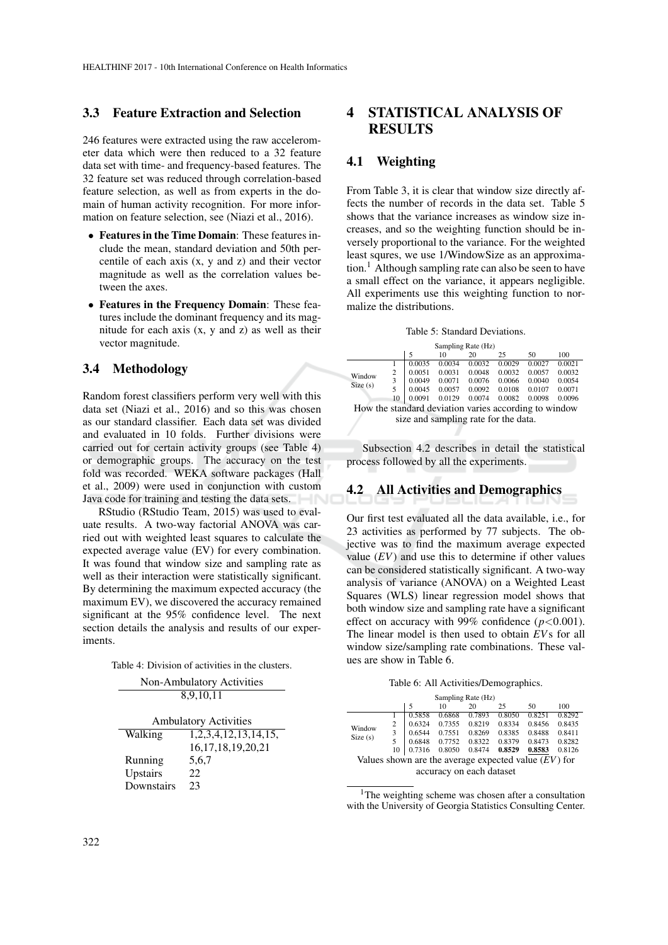## 3.3 Feature Extraction and Selection

246 features were extracted using the raw accelerometer data which were then reduced to a 32 feature data set with time- and frequency-based features. The 32 feature set was reduced through correlation-based feature selection, as well as from experts in the domain of human activity recognition. For more information on feature selection, see (Niazi et al., 2016).

- Features in the Time Domain: These features include the mean, standard deviation and 50th percentile of each axis (x, y and z) and their vector magnitude as well as the correlation values between the axes.
- Features in the Frequency Domain: These features include the dominant frequency and its magnitude for each axis (x, y and z) as well as their vector magnitude.

## 3.4 Methodology

Random forest classifiers perform very well with this data set (Niazi et al., 2016) and so this was chosen as our standard classifier. Each data set was divided and evaluated in 10 folds. Further divisions were carried out for certain activity groups (see Table 4) or demographic groups. The accuracy on the test fold was recorded. WEKA software packages (Hall et al., 2009) were used in conjunction with custom Java code for training and testing the data sets.

RStudio (RStudio Team, 2015) was used to evaluate results. A two-way factorial ANOVA was carried out with weighted least squares to calculate the expected average value (EV) for every combination. It was found that window size and sampling rate as well as their interaction were statistically significant. By determining the maximum expected accuracy (the maximum EV), we discovered the accuracy remained significant at the 95% confidence level. The next section details the analysis and results of our experiments.

| Table 4: Division of activities in the clusters. |
|--------------------------------------------------|
|--------------------------------------------------|

| Non-Ambulatory Activities    |                        |  |  |  |  |
|------------------------------|------------------------|--|--|--|--|
| 8,9,10,11                    |                        |  |  |  |  |
| <b>Ambulatory Activities</b> |                        |  |  |  |  |
| Walking                      | 1,2,3,4,12,13,14,15,   |  |  |  |  |
|                              |                        |  |  |  |  |
|                              | 16, 17, 18, 19, 20, 21 |  |  |  |  |
| Running                      | 5,6,7                  |  |  |  |  |
| Upstairs                     | 22                     |  |  |  |  |
| Downstairs                   | つろ                     |  |  |  |  |

## 4 STATISTICAL ANALYSIS OF **RESULTS**

## 4.1 Weighting

From Table 3, it is clear that window size directly affects the number of records in the data set. Table 5 shows that the variance increases as window size increases, and so the weighting function should be inversely proportional to the variance. For the weighted least squres, we use 1/WindowSize as an approximation.<sup>1</sup> Although sampling rate can also be seen to have a small effect on the variance, it appears negligible. All experiments use this weighting function to normalize the distributions.

Table 5: Standard Deviations.

|                                                       |                                      |    |        | Sampling Rate (Hz) |        |        |        |        |  |
|-------------------------------------------------------|--------------------------------------|----|--------|--------------------|--------|--------|--------|--------|--|
|                                                       |                                      |    | 5      | 10                 | 20     | 25     | 50     | 100    |  |
|                                                       |                                      |    | 0.0035 | 0.0034             | 0.0032 | 0.0029 | 0.0027 | 0.0021 |  |
|                                                       | Window                               | 2  | 0.0051 | 0.0031             | 0.0048 | 0.0032 | 0.0057 | 0.0032 |  |
|                                                       |                                      | 3  | 0.0049 | 0.0071             | 0.0076 | 0.0066 | 0.0040 | 0.0054 |  |
|                                                       | Size(s)                              |    | 0.0045 | 0.0057             | 0.0092 | 0.0108 | 0.0107 | 0.0071 |  |
|                                                       |                                      | 10 | 0.0091 | 0.0129             | 0.0074 | 0.0082 | 0.0098 | 0.0096 |  |
| How the standard deviation varies according to window |                                      |    |        |                    |        |        |        |        |  |
|                                                       | size and sampling rate for the data. |    |        |                    |        |        |        |        |  |

Subsection 4.2 describes in detail the statistical process followed by all the experiments.

## 4.2 All Activities and Demographics

Our first test evaluated all the data available, i.e., for 23 activities as performed by 77 subjects. The objective was to find the maximum average expected value (*EV*) and use this to determine if other values can be considered statistically significant. A two-way analysis of variance (ANOVA) on a Weighted Least Squares (WLS) linear regression model shows that both window size and sampling rate have a significant effect on accuracy with 99% confidence (*p*<0.001). The linear model is then used to obtain *EV*s for all window size/sampling rate combinations. These values are show in Table 6.

|  |  |  | Table 6: All Activities/Demographics. |  |
|--|--|--|---------------------------------------|--|
|--|--|--|---------------------------------------|--|

| Sampling Rate (Hz)                                     |    |        |        |        |        |        |        |
|--------------------------------------------------------|----|--------|--------|--------|--------|--------|--------|
|                                                        |    | 5      | 10     | 20     | 25     | 50     | 100    |
|                                                        |    | 0.5858 | 0.6868 | 0.7893 | 0.8050 | 0.8251 | 0.8292 |
| Window<br>Size(s)                                      | 2  | 0.6324 | 0.7355 | 0.8219 | 0.8334 | 0.8456 | 0.8435 |
|                                                        | 3  | 0.6544 | 0.7551 | 0.8269 | 0.8385 | 0.8488 | 0.8411 |
|                                                        |    | 0.6848 | 0.7752 | 0.8322 | 0.8379 | 0.8473 | 0.8282 |
|                                                        | 10 | 0.7316 | 0.8050 | 0.8474 | 0.8529 | 0.8583 | 0.8126 |
| Values shown are the average expected value $(EV)$ for |    |        |        |        |        |        |        |
| accuracy on each dataset                               |    |        |        |        |        |        |        |

<sup>1</sup>The weighting scheme was chosen after a consultation with the University of Georgia Statistics Consulting Center.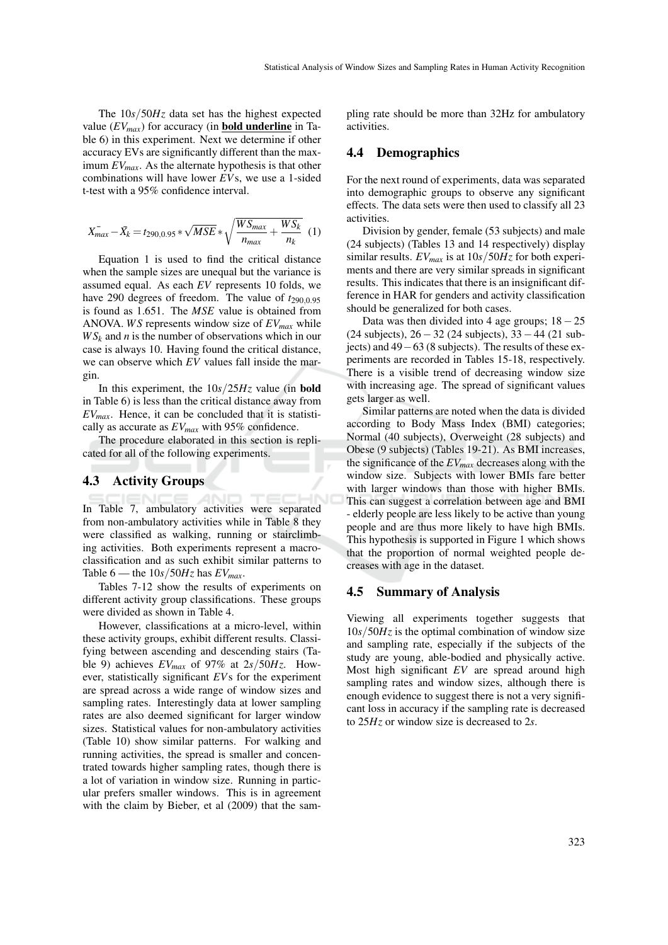The 10*s*/50*Hz* data set has the highest expected value  $(EV_{max})$  for accuracy (in **bold underline** in Table 6) in this experiment. Next we determine if other accuracy EVs are significantly different than the maximum *EVmax*. As the alternate hypothesis is that other combinations will have lower *EV*s, we use a 1-sided t-test with a 95% confidence interval.

$$
X_{max}^- - \bar{X}_k = t_{290,0.95} * \sqrt{MSE} * \sqrt{\frac{WS_{max}}{n_{max}} + \frac{WS_k}{n_k}}
$$
 (1)

Equation 1 is used to find the critical distance when the sample sizes are unequal but the variance is assumed equal. As each *EV* represents 10 folds, we have 290 degrees of freedom. The value of  $t_{290,0.95}$ is found as 1.651. The *MSE* value is obtained from ANOVA. *WS* represents window size of *EVmax* while  $WS_k$  and *n* is the number of observations which in our case is always 10. Having found the critical distance, we can observe which *EV* values fall inside the margin.

In this experiment, the 10*s*/25*Hz* value (in bold in Table 6) is less than the critical distance away from *EVmax*. Hence, it can be concluded that it is statistically as accurate as *EVmax* with 95% confidence.

The procedure elaborated in this section is replicated for all of the following experiments.

#### 4.3 Activity Groups

In Table 7, ambulatory activities were separated from non-ambulatory activities while in Table 8 they were classified as walking, running or stairclimbing activities. Both experiments represent a macroclassification and as such exhibit similar patterns to Table 6 — the  $10s/50Hz$  has  $EV_{max}$ .

Tables 7-12 show the results of experiments on different activity group classifications. These groups were divided as shown in Table 4.

However, classifications at a micro-level, within these activity groups, exhibit different results. Classifying between ascending and descending stairs (Table 9) achieves  $EV_{max}$  of 97% at  $2s/50Hz$ . However, statistically significant *EV*s for the experiment are spread across a wide range of window sizes and sampling rates. Interestingly data at lower sampling rates are also deemed significant for larger window sizes. Statistical values for non-ambulatory activities (Table 10) show similar patterns. For walking and running activities, the spread is smaller and concentrated towards higher sampling rates, though there is a lot of variation in window size. Running in particular prefers smaller windows. This is in agreement with the claim by Bieber, et al (2009) that the sampling rate should be more than 32Hz for ambulatory activities.

## 4.4 Demographics

For the next round of experiments, data was separated into demographic groups to observe any significant effects. The data sets were then used to classify all 23 activities.

Division by gender, female (53 subjects) and male (24 subjects) (Tables 13 and 14 respectively) display similar results. *EVmax* is at 10*s*/50*Hz* for both experiments and there are very similar spreads in significant results. This indicates that there is an insignificant difference in HAR for genders and activity classification should be generalized for both cases.

Data was then divided into 4 age groups; 18−25 (24 subjects), 26−32 (24 subjects), 33−44 (21 subjects) and 49−63 (8 subjects). The results of these experiments are recorded in Tables 15-18, respectively. There is a visible trend of decreasing window size with increasing age. The spread of significant values gets larger as well.

Similar patterns are noted when the data is divided according to Body Mass Index (BMI) categories; Normal (40 subjects), Overweight (28 subjects) and Obese (9 subjects) (Tables 19-21). As BMI increases, the significance of the *EVmax* decreases along with the window size. Subjects with lower BMIs fare better with larger windows than those with higher BMIs. This can suggest a correlation between age and BMI - elderly people are less likely to be active than young people and are thus more likely to have high BMIs. This hypothesis is supported in Figure 1 which shows that the proportion of normal weighted people decreases with age in the dataset.

#### 4.5 Summary of Analysis

Viewing all experiments together suggests that  $10s/50Hz$  is the optimal combination of window size and sampling rate, especially if the subjects of the study are young, able-bodied and physically active. Most high significant *EV* are spread around high sampling rates and window sizes, although there is enough evidence to suggest there is not a very significant loss in accuracy if the sampling rate is decreased to 25*Hz* or window size is decreased to 2*s*.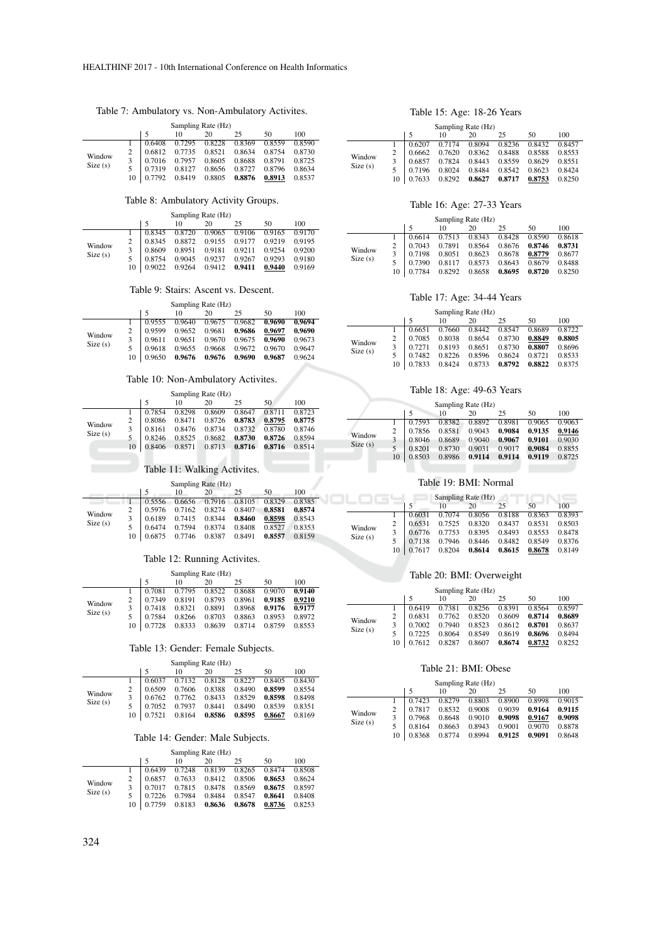## Table 7: Ambulatory vs. Non-Ambulatory Activites.

| Sampling Rate (Hz) |    |        |        |        |        |        |        |
|--------------------|----|--------|--------|--------|--------|--------|--------|
|                    |    |        | 10     | 20     | 25     | 50     | 100    |
|                    |    | 0.6408 | 0.7295 | 0.8228 | 0.8369 | 0.8559 | 0.8590 |
|                    |    | 0.6812 | 0.7735 | 0.8521 | 0.8634 | 0.8754 | 0.8730 |
| Window<br>Size(s)  |    | 0.7016 | 0.7957 | 0.8605 | 0.8688 | 0.8791 | 0.8725 |
|                    |    | 0.7319 | 0.8127 | 0.8656 | 0.8727 | 0.8796 | 0.8634 |
|                    | 10 | 0.7792 | 0.8419 | 0.8805 | 0.8876 | 0.8913 | 0.8537 |

#### Table 8: Ambulatory Activity Groups.

|                   |    |        |        | Sampling Rate (Hz) |        |        |        |
|-------------------|----|--------|--------|--------------------|--------|--------|--------|
|                   |    |        | 10     | 20                 | 25     | 50     | 100    |
|                   |    | 0.8345 | 0.8720 | 0.9065             | 0.9106 | 0.9165 | 0.9170 |
|                   |    | 0.8345 | 0.8872 | 0.9155             | 0.9177 | 0.9219 | 0.9195 |
| Window<br>Size(s) | 3  | 0.8609 | 0.8951 | 0.9181             | 0.9211 | 0.9254 | 0.9200 |
|                   |    | 0.8754 | 0.9045 | 0.9237             | 0.9267 | 0.9293 | 0.9180 |
|                   | 10 | 0.9022 | 0.9264 | 0.9412             | 0.9411 | 0.9440 | 0.9169 |

#### Table 9: Stairs: Ascent vs. Descent.

| Sampling Rate (Hz) |    |        |        |        |        |        |        |
|--------------------|----|--------|--------|--------|--------|--------|--------|
|                    |    |        | 10     | 20     | 25     | 50     | 100    |
| Window<br>Size(s)  |    | 0.9555 | 0.9640 | 0.9675 | 0.9682 | 0.9690 | 0.9694 |
|                    |    | 0.9599 | 0.9652 | 0.9681 | 0.9686 | 0.9697 | 0.9690 |
|                    |    | 0.9611 | 0.9651 | 0.9670 | 0.9675 | 0.9690 | 0.9673 |
|                    | 5  | 0.9618 | 0.9655 | 0.9668 | 0.9672 | 0.9670 | 0.9647 |
|                    | 10 | 0.9650 | 0.9676 | 0.9676 | 0.9690 | 0.9687 | 0.9624 |

## Table 10: Non-Ambulatory Activites.

|                   |    |        |    | Sampling Rate (Hz)     |                      |        |        |
|-------------------|----|--------|----|------------------------|----------------------|--------|--------|
|                   |    |        | 10 | 20                     | 25                   | 50     | 100    |
| Window<br>Size(s) |    | 0.7854 |    | 0.8298 0.8609 0.8647   |                      | 0.8711 | 0.8723 |
|                   |    | 0.8086 |    | 0.8471 0.8726          | 0.8783               | 0.8795 | 0.8775 |
|                   |    | 0.8161 |    |                        | 0.8476 0.8734 0.8732 | 0.8780 | 0.8746 |
|                   |    | 0.8246 |    | 0.8525  0.8682  0.8730 |                      | 0.8726 | 0.8594 |
|                   | 10 | 0.8406 |    | 0.8571 0.8713 0.8716   |                      | 0.8716 | 0.8514 |

#### Table 11: Walking Activites.

|                             |    |        | Sampling Rate (Hz) |               |        |        |        |
|-----------------------------|----|--------|--------------------|---------------|--------|--------|--------|
|                             |    |        | 10                 | 20            | 25     | 50     | 100    |
| Window<br>3<br>Size(s)<br>5 |    | 0.5556 |                    | 0.6656 0.7916 | 0.8105 | 0.8329 | 0.8385 |
|                             |    | 0.5976 | 0.7162             | 0.8274        | 0.8407 | 0.8581 | 0.8574 |
|                             |    | 0.6189 | 0.7415             | 0.8344        | 0.8460 | 0.8598 | 0.8543 |
|                             |    | 0.6474 | 0.7594             | 0.8374        | 0.8408 | 0.8527 | 0.8353 |
|                             | 10 | 0.6875 | 0.7746             | 0.8387        | 0.8491 | 0.8557 | 0.8159 |

## Table 12: Running Activites.

| Sampling Rate (Hz) |                |        |        |        |        |        |        |  |
|--------------------|----------------|--------|--------|--------|--------|--------|--------|--|
|                    |                |        | 10     | 20     | 25     | 50     | 100    |  |
| Window<br>Size(s)  |                | 0.7081 | 0.7795 | 0.8522 | 0.8688 | 0.9070 | 0.9140 |  |
|                    | $\overline{2}$ | 0.7349 | 0.8191 | 0.8793 | 0.8961 | 0.9185 | 0.9210 |  |
|                    |                | 0.7418 | 0.8321 | 0.8891 | 0.8968 | 0.9176 | 0.9177 |  |
|                    |                | 0.7584 | 0.8266 | 0.8703 | 0.8863 | 0.8953 | 0.8972 |  |
|                    | 10             | 0.7728 | 0.8333 | 0.8639 | 0.8714 | 0.8759 | 0.8553 |  |

Table 13: Gender: Female Subjects.

| Sampling Rate (Hz) |                |        |        |        |        |        |        |
|--------------------|----------------|--------|--------|--------|--------|--------|--------|
|                    |                |        | 10     | 20     | 25     | 50     | 100    |
| Window<br>Size(s)  |                | 0.6037 | 0.7132 | 0.8128 | 0.8227 | 0.8405 | 0.8430 |
|                    | $\overline{c}$ | 0.6509 | 0.7606 | 0.8388 | 0.8490 | 0.8599 | 0.8554 |
|                    | 3              | 0.6762 | 0.7762 | 0.8433 | 0.8529 | 0.8598 | 0.8498 |
|                    | 5              | 0.7052 | 0.7937 | 0.8441 | 0.8490 | 0.8539 | 0.8351 |
|                    | 10             | 0.7521 | 0.8164 | 0.8586 | 0.8595 | 0.8667 | 0.8169 |

#### Table 14: Gender: Male Subjects.

| Sampling Rate (Hz) |                |        |        |        |        |        |        |
|--------------------|----------------|--------|--------|--------|--------|--------|--------|
|                    |                |        | 10     | 20     | 25     | 50     | 100    |
| Window<br>Size(s)  |                | 0.6439 | 0.7248 | 0.8139 | 0.8265 | 0.8474 | 0.8508 |
|                    | $\overline{c}$ | 0.6857 | 0.7633 | 0.8412 | 0.8506 | 0.8653 | 0.8624 |
|                    | 3              | 0.7017 | 0.7815 | 0.8478 | 0.8569 | 0.8675 | 0.8597 |
|                    | 5              | 0.7226 | 0.7984 | 0.8484 | 0.8547 | 0.8641 | 0.8408 |
|                    | 10             | 0.7759 | 0.8183 | 0.8636 | 0.8678 | 0.8736 | 0.8253 |

#### Table 15: Age: 18-26 Years

| Sampling Rate (Hz) |    |        |        |        |        |        |        |  |
|--------------------|----|--------|--------|--------|--------|--------|--------|--|
|                    |    |        | 10     | 20     | 25     | 50     | 100    |  |
| Window<br>Size(s)  |    | 0.6207 | 0.7174 | 0.8094 | 0.8236 | 0.8432 | 0.8457 |  |
|                    | 2  | 0.6662 | 0.7620 | 0.8362 | 0.8488 | 0.8588 | 0.8553 |  |
|                    | 3  | 0.6857 | 0.7824 | 0.8443 | 0.8559 | 0.8629 | 0.8551 |  |
|                    | 5  | 0.7196 | 0.8024 | 0.8484 | 0.8542 | 0.8623 | 0.8424 |  |
|                    | 10 | 0.7633 | 0.8292 | 0.8627 | 0.8717 | 0.8753 | 0.8250 |  |

#### Table 16: Age: 27-33 Years

| Sampling Rate (Hz) |    |        |        |        |        |        |        |
|--------------------|----|--------|--------|--------|--------|--------|--------|
|                    |    |        | 10     | 20     | 25     | 50     | 100    |
| Window<br>Size(s)  |    | 0.6614 | 0.7513 | 0.8343 | 0.8428 | 0.8590 | 0.8618 |
|                    |    | 0.7043 | 0.7891 | 0.8564 | 0.8676 | 0.8746 | 0.8731 |
|                    |    | 0.7198 | 0.8051 | 0.8623 | 0.8678 | 0.8779 | 0.8677 |
|                    |    | 0.7390 | 0.8117 | 0.8573 | 0.8643 | 0.8679 | 0.8488 |
|                    | 10 | 0.7784 | 0.8292 | 0.8658 | 0.8695 | 0.8720 | 0.8250 |

## Table 17: Age: 34-44 Years

| Sampling Rate (Hz) |    |        |        |        |        |        |        |
|--------------------|----|--------|--------|--------|--------|--------|--------|
|                    |    |        | 10     | 20     | 25     | 50     | 100    |
| Window<br>Size(s)  |    | 0.6651 | 0.7660 | 0.8442 | 0.8547 | 0.8689 | 0.8722 |
|                    |    | 0.7085 | 0.8038 | 0.8654 | 0.8730 | 0.8849 | 0.8805 |
|                    | 3  | 0.7271 | 0.8193 | 0.8651 | 0.8730 | 0.8807 | 0.8696 |
|                    | 5  | 0.7482 | 0.8226 | 0.8596 | 0.8624 | 0.8721 | 0.8533 |
|                    | 10 | 0.7833 | 0.8424 | 0.8733 | 0.8792 | 0.8822 | 0.8375 |

#### Table 18: Age: 49-63 Years

|                   |    |        |        | Sampling Rate (Hz) |        |        |        |
|-------------------|----|--------|--------|--------------------|--------|--------|--------|
|                   |    |        | 10     | 20                 | 25     | 50     | 100    |
| Window<br>Size(s) |    | 0.7593 | 0.8382 | 0.8892             | 0.8981 | 0.9065 | 0.9063 |
|                   | 2  | 0.7856 | 0.8581 | 0.9043             | 0.9084 | 0.9135 | 0.9146 |
|                   | 3  | 0.8046 | 0.8689 | 0.9040             | 0.9067 | 0.9101 | 0.9030 |
|                   | 5  | 0.8201 | 0.8730 | 0.9031             | 0.9017 | 0.9084 | 0.8855 |
|                   | 10 | 0.8503 | 0.8986 | 0.9114             | 0.9114 | 0.9119 | 0.8725 |
|                   |    |        |        |                    |        |        |        |
|                   |    |        |        |                    |        |        |        |

## Table 19: BMI: Normal

|                   |    |        | Sampling Rate (Hz) |        |        |        |        |
|-------------------|----|--------|--------------------|--------|--------|--------|--------|
|                   |    | 5      | 10                 | 20     | 25     | 50     | 100    |
| Window<br>Size(s) |    | 0.6031 | 0.7074             | 0.8056 | 0.8188 | 0.8363 | 0.8393 |
|                   | 2  | 0.6531 | 0.7525             | 0.8320 | 0.8437 | 0.8531 | 0.8503 |
|                   |    | 0.6776 | 0.7753             | 0.8395 | 0.8493 | 0.8553 | 0.8478 |
|                   |    | 0.7138 | 0.7946             | 0.8446 | 0.8482 | 0.8549 | 0.8376 |
|                   | 10 | 0.7617 | 0.8204             | 0.8614 | 0.8615 | 0.8678 | 0.8149 |

## Table 20: BMI: Overweight

|                   |    |        | Sampling Rate (Hz) |        |        |        |        |
|-------------------|----|--------|--------------------|--------|--------|--------|--------|
|                   |    |        | 10                 | 20     | 25     | 50     | 100    |
| Window<br>Size(s) |    | 0.6419 | 0.7381             | 0.8256 | 0.8391 | 0.8564 | 0.8597 |
|                   |    | 0.6831 | 0.7762             | 0.8520 | 0.8609 | 0.8714 | 0.8689 |
|                   |    | 0.7002 | 0.7940             | 0.8523 | 0.8612 | 0.8701 | 0.8637 |
|                   |    | 0.7225 | 0.8064             | 0.8549 | 0.8619 | 0.8696 | 0.8494 |
|                   | 10 | 0.7612 | 0.8287             | 0.8607 | 0.8674 | 0.8732 | 0.8252 |

#### Table 21: BMI: Obese

|    | Sampling Rate (Hz) |    |  |
|----|--------------------|----|--|
| 10 | 20                 | 25 |  |

|  |  |  |  |  |  | 100                                                                                                                                                                                                                                                                                   |
|--|--|--|--|--|--|---------------------------------------------------------------------------------------------------------------------------------------------------------------------------------------------------------------------------------------------------------------------------------------|
|  |  |  |  |  |  |                                                                                                                                                                                                                                                                                       |
|  |  |  |  |  |  |                                                                                                                                                                                                                                                                                       |
|  |  |  |  |  |  |                                                                                                                                                                                                                                                                                       |
|  |  |  |  |  |  |                                                                                                                                                                                                                                                                                       |
|  |  |  |  |  |  |                                                                                                                                                                                                                                                                                       |
|  |  |  |  |  |  | 10 20 25 50<br>1 0.7423 0.8279 0.8803 0.8900 0.8998 0.9015<br>$2   0.7817   0.8532   0.9008   0.9039   0.9164   0.9115$<br>$3   0.7968   0.8648   0.9010   0.9098   0.9167   0.9098$<br>$5$ 0.8164 0.8663 0.8943 0.9001 0.9070 0.8878<br>10 0.8368 0.8774 0.8994 0.9125 0.9091 0.8648 |